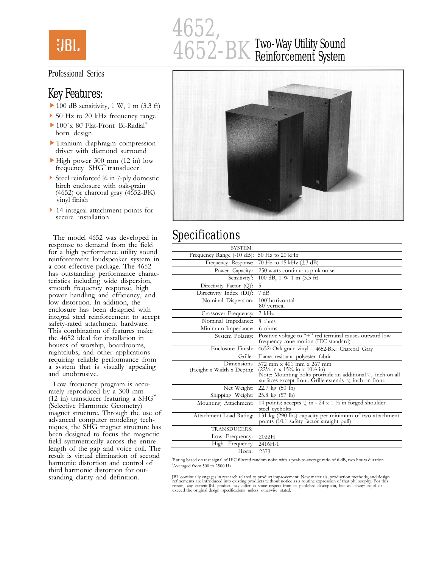

# 4652, 4652-BK Two-Way Utility Sound Reinforcement System

#### Professional Series

### Key Features:

- $\blacktriangleright$  100 dB sensitivity, 1 W, 1 m (3.3 ft)
- ▶ 50 Hz to 20 kHz frequency range
- $\blacktriangleright$  100° x 80° Flat-Front Bi-Radial® horn design
- Titanium diaphragm compression driver with diamond surround
- $\blacktriangleright$  High power 300 mm (12 in) low frequency SHG<sup>"</sup> transducer
- Steel reinforced ¾ in 7-ply domestic birch enclosure with oak-grain (4652) or charcoal gray (4652-BK) vinyl finish
- ▶ 14 integral attachment points for secure installation

The model 4652 was developed in response to demand from the field for a high performance utility sound reinforcement loudspeaker system in a cost effective package. The 4652 has outstanding performance characteristics including wide dispersion, smooth frequency response, high power handling and efficiency, and low distortion. In addition, the enclosure has been designed with integral steel reinforcement to accept safety-rated attachment hardware. This combination of features make the 4652 ideal for installation in houses of worship, boardrooms, nightclubs, and other applications requiring reliable performance from a system that is visually appealing and unobtrusive.

Low frequency program is accurately reproduced by a 300 mm (12 in) transducer featuring a SH $G^M$ (Selective Harmonic Geometry) magnet structure. Through the use of advanced computer modeling techniques, the SHG magnet structure has been designed to focus the magnetic field symmetrically across the entire length of the gap and voice coil. The result is virtual elimination of second harmonic distortion and control of third harmonic distortion for outstanding clarity and definition.



# Specifications

| 50 Hz to 20 kHz<br>Frequency Range (-10 dB):<br>70 Hz to 15 kHz (±3 dB)<br>Frequency Response:<br>250 watts continuous pink noise<br>Power Capacity:<br>Sensitivity <sup>2</sup> :<br>100 dB, 1 W 1 m (3.3 ft)<br>Directivity Factor $(Q)^2$ :<br>5<br>7 dB<br>Directivity Index $(DI)^2$ :<br>100° horizontal<br>Nominal Dispersion:<br>80° vertical<br>$2$ kHz<br>Crossover Frequency:<br>Nominal Impedance:<br>8 ohms<br>Minimum Impedance:<br>6 ohms<br>Positive voltage to "+" red terminal causes outward low<br>System Polarity:<br>frequency cone motion (IEC standard)<br>Enclosure Finish:<br>4652: Oak grain vinyl 4652-BK: Charcoal Gray<br>Grille:<br>Flame resistant polyester fabric<br><b>Dimensions</b><br>572 mm x 401 mm x 267 mm<br>(Height x Width x Depth):<br>$(22\frac{1}{2}$ in x 15 <sup>3</sup> / <sub>4</sub> in x 10 <sup>1</sup> / <sub>2</sub> in)<br>Note: Mounting bolts protrude an additional $\frac{5}{16}$ inch on all surfaces except front. Grille extends $\frac{7}{6}$ inch on front.<br>Net Weight:<br>$22.7 \text{ kg} (50 \text{ lb})$<br>Shipping Weight:<br>$25.8 \text{ kg} (57 \text{ lb})$<br>14 points; accepts $\frac{3}{8}$ in - 24 x 1 $\frac{1}{2}$ in forged shoulder<br>Mounting Attachment:<br>steel eyebolts<br>131 kg (290 lbs) capacity per minimum of two attachment<br>Attachment Load Rating:<br>points (10:1 safety factor straight pull)<br>TRANSDUCERS:<br>Low Frequency:<br>2022H<br>High Frequency<br>2416H-1<br>2373<br>Horn: | <b>SYSTEM:</b> |  |
|----------------------------------------------------------------------------------------------------------------------------------------------------------------------------------------------------------------------------------------------------------------------------------------------------------------------------------------------------------------------------------------------------------------------------------------------------------------------------------------------------------------------------------------------------------------------------------------------------------------------------------------------------------------------------------------------------------------------------------------------------------------------------------------------------------------------------------------------------------------------------------------------------------------------------------------------------------------------------------------------------------------------------------------------------------------------------------------------------------------------------------------------------------------------------------------------------------------------------------------------------------------------------------------------------------------------------------------------------------------------------------------------------------------------------------------------------------------------------------------------------|----------------|--|
|                                                                                                                                                                                                                                                                                                                                                                                                                                                                                                                                                                                                                                                                                                                                                                                                                                                                                                                                                                                                                                                                                                                                                                                                                                                                                                                                                                                                                                                                                                    |                |  |
|                                                                                                                                                                                                                                                                                                                                                                                                                                                                                                                                                                                                                                                                                                                                                                                                                                                                                                                                                                                                                                                                                                                                                                                                                                                                                                                                                                                                                                                                                                    |                |  |
|                                                                                                                                                                                                                                                                                                                                                                                                                                                                                                                                                                                                                                                                                                                                                                                                                                                                                                                                                                                                                                                                                                                                                                                                                                                                                                                                                                                                                                                                                                    |                |  |
|                                                                                                                                                                                                                                                                                                                                                                                                                                                                                                                                                                                                                                                                                                                                                                                                                                                                                                                                                                                                                                                                                                                                                                                                                                                                                                                                                                                                                                                                                                    |                |  |
|                                                                                                                                                                                                                                                                                                                                                                                                                                                                                                                                                                                                                                                                                                                                                                                                                                                                                                                                                                                                                                                                                                                                                                                                                                                                                                                                                                                                                                                                                                    |                |  |
|                                                                                                                                                                                                                                                                                                                                                                                                                                                                                                                                                                                                                                                                                                                                                                                                                                                                                                                                                                                                                                                                                                                                                                                                                                                                                                                                                                                                                                                                                                    |                |  |
|                                                                                                                                                                                                                                                                                                                                                                                                                                                                                                                                                                                                                                                                                                                                                                                                                                                                                                                                                                                                                                                                                                                                                                                                                                                                                                                                                                                                                                                                                                    |                |  |
|                                                                                                                                                                                                                                                                                                                                                                                                                                                                                                                                                                                                                                                                                                                                                                                                                                                                                                                                                                                                                                                                                                                                                                                                                                                                                                                                                                                                                                                                                                    |                |  |
|                                                                                                                                                                                                                                                                                                                                                                                                                                                                                                                                                                                                                                                                                                                                                                                                                                                                                                                                                                                                                                                                                                                                                                                                                                                                                                                                                                                                                                                                                                    |                |  |
|                                                                                                                                                                                                                                                                                                                                                                                                                                                                                                                                                                                                                                                                                                                                                                                                                                                                                                                                                                                                                                                                                                                                                                                                                                                                                                                                                                                                                                                                                                    |                |  |
|                                                                                                                                                                                                                                                                                                                                                                                                                                                                                                                                                                                                                                                                                                                                                                                                                                                                                                                                                                                                                                                                                                                                                                                                                                                                                                                                                                                                                                                                                                    |                |  |
|                                                                                                                                                                                                                                                                                                                                                                                                                                                                                                                                                                                                                                                                                                                                                                                                                                                                                                                                                                                                                                                                                                                                                                                                                                                                                                                                                                                                                                                                                                    |                |  |
|                                                                                                                                                                                                                                                                                                                                                                                                                                                                                                                                                                                                                                                                                                                                                                                                                                                                                                                                                                                                                                                                                                                                                                                                                                                                                                                                                                                                                                                                                                    |                |  |
|                                                                                                                                                                                                                                                                                                                                                                                                                                                                                                                                                                                                                                                                                                                                                                                                                                                                                                                                                                                                                                                                                                                                                                                                                                                                                                                                                                                                                                                                                                    |                |  |
|                                                                                                                                                                                                                                                                                                                                                                                                                                                                                                                                                                                                                                                                                                                                                                                                                                                                                                                                                                                                                                                                                                                                                                                                                                                                                                                                                                                                                                                                                                    |                |  |
|                                                                                                                                                                                                                                                                                                                                                                                                                                                                                                                                                                                                                                                                                                                                                                                                                                                                                                                                                                                                                                                                                                                                                                                                                                                                                                                                                                                                                                                                                                    |                |  |
|                                                                                                                                                                                                                                                                                                                                                                                                                                                                                                                                                                                                                                                                                                                                                                                                                                                                                                                                                                                                                                                                                                                                                                                                                                                                                                                                                                                                                                                                                                    |                |  |
|                                                                                                                                                                                                                                                                                                                                                                                                                                                                                                                                                                                                                                                                                                                                                                                                                                                                                                                                                                                                                                                                                                                                                                                                                                                                                                                                                                                                                                                                                                    |                |  |
|                                                                                                                                                                                                                                                                                                                                                                                                                                                                                                                                                                                                                                                                                                                                                                                                                                                                                                                                                                                                                                                                                                                                                                                                                                                                                                                                                                                                                                                                                                    |                |  |
|                                                                                                                                                                                                                                                                                                                                                                                                                                                                                                                                                                                                                                                                                                                                                                                                                                                                                                                                                                                                                                                                                                                                                                                                                                                                                                                                                                                                                                                                                                    |                |  |
|                                                                                                                                                                                                                                                                                                                                                                                                                                                                                                                                                                                                                                                                                                                                                                                                                                                                                                                                                                                                                                                                                                                                                                                                                                                                                                                                                                                                                                                                                                    |                |  |
|                                                                                                                                                                                                                                                                                                                                                                                                                                                                                                                                                                                                                                                                                                                                                                                                                                                                                                                                                                                                                                                                                                                                                                                                                                                                                                                                                                                                                                                                                                    |                |  |

1 Rating based on test signal of IEC filtered random noise with a peak-to-average ratio of 6 dB, two hours duration. 2 Averaged from 500 to 2500 Hz.

JBL continually engages in research related to product improvement. New materials, production methods, and design<br>refinements are introduced into existing products without notice as a routine expression of that philosophy.